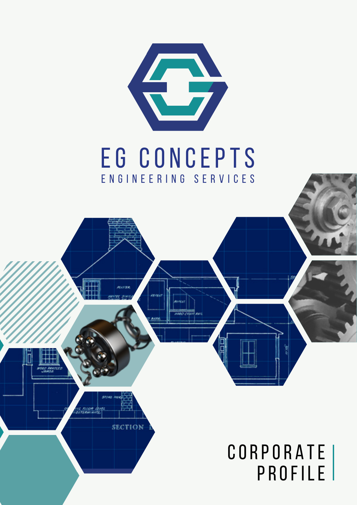

# EG CONCEPTS E N G I N E E R I N G S E R V I C E S

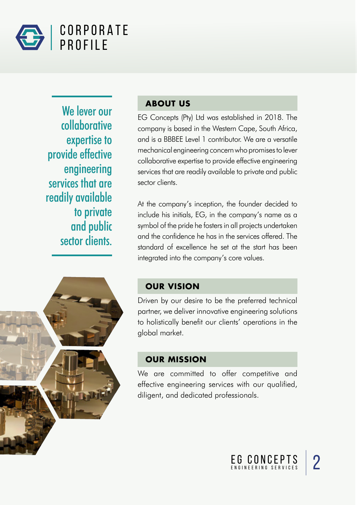

We lever our collaborative expertise to provide effective engineering services that are readily available to private and public sector clients.

#### **ABOUT US**

EG Concepts (Pty) Ltd was established in 2018. The company is based in the Western Cape, South Africa, and is a BBBEE Level 1 contributor. We are a versatile mechanical engineering concern who promises to lever collaborative expertise to provide effective engineering services that are readily available to private and public sector clients.

At the company's inception, the founder decided to include his initials, EG, in the company's name as a symbol of the pride he fosters in all projects undertaken and the confidence he has in the services offered. The standard of excellence he set at the start has been integrated into the company's core values.

#### **OUR VISION**

Driven by our desire to be the preferred technical partner, we deliver innovative engineering solutions to holistically benefit our clients' operations in the global market.

#### **OUR MISSION**

We are committed to offer competitive and effective engineering services with our qualified, diligent, and dedicated professionals.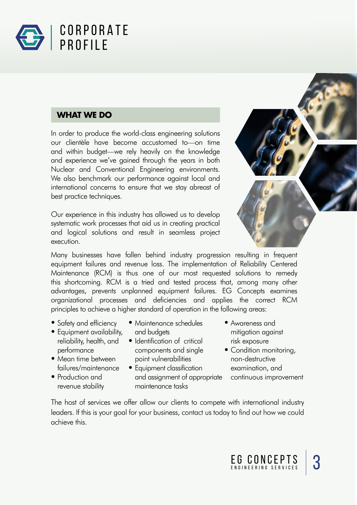

#### **WHAT WE DO**

In order to produce the world-class engineering solutions our clientèle have become accustomed to—on time and within budget—we rely heavily on the knowledge and experience we've gained through the years in both Nuclear and Conventional Engineering environments. We also benchmark our performance against local and international concerns to ensure that we stay abreast of best practice techniques.

Our experience in this industry has allowed us to develop systematic work processes that aid us in creating practical and logical solutions and result in seamless project execution.



Many businesses have fallen behind industry progression resulting in frequent equipment failures and revenue loss. The implementation of Reliability Centered Maintenance (RCM) is thus one of our most requested solutions to remedy this shortcoming. RCM is a tried and tested process that, among many other advantages, prevents unplanned equipment failures. EG Concepts examines organizational processes and deficiencies and applies the correct RCM principles to achieve a higher standard of operation in the following areas:

- Safety and efficiency
- Equipment availability, reliability, health, and performance
- Mean time between failures/maintenance
- Production and revenue stability
- Maintenance schedules and budgets
- Identification of critical components and single point vulnerabilities
- Equipment classification and assignment of appropriate maintenance tasks
- Awareness and mitigation against risk exposure
- Condition monitoring, non-destructive examination, and continuous improvement

The host of services we offer allow our clients to compete with international industry leaders. If this is your goal for your business, contact us today to find out how we could achieve this.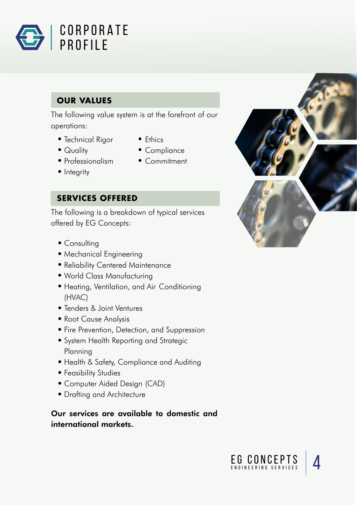

### **OUR VALUES**

The following value system is at the forefront of our operations:

- Technical Rigor Ethics
- 
- 
- 
- Quality Compliance
- Professionalism Commitment
- Integrity

#### **SERVICES OFFERED**

The following is a breakdown of typical services offered by EG Concepts:

- Consulting
- Mechanical Engineering
- Reliability Centered Maintenance
- World Class Manufacturing
- Heating, Ventilation, and Air Conditioning (HVAC)
- Tenders & Joint Ventures
- Root Cause Analysis
- Fire Prevention, Detection, and Suppression
- System Health Reporting and Strategic Planning
- Health & Safety, Compliance and Auditing
- Feasibility Studies
- Computer Aided Design (CAD)
- Drafting and Architecture

Our services are available to domestic and international markets.



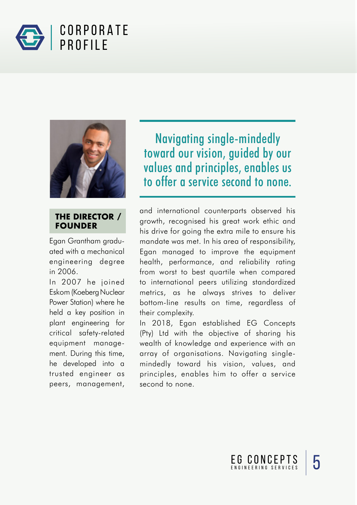



#### **THE DIRECTOR / FOUNDER**

Egan Grantham graduated with a mechanical engineering degree in 2006.

In 2007 he joined Eskom (Koeberg Nuclear Power Station) where he held a key position in plant engineering for critical safety-related equipment management. During this time, he developed into a trusted engineer as peers, management,

Navigating single-mindedly toward our vision, guided by our values and principles, enables us to offer a service second to none.

and international counterparts observed his growth, recognised his great work ethic and his drive for going the extra mile to ensure his mandate was met. In his area of responsibility, Egan managed to improve the equipment health, performance, and reliability rating from worst to best quartile when compared to international peers utilizing standardized metrics, as he always strives to deliver bottom-line results on time, regardless of their complexity.

In 2018, Egan established EG Concepts (Pty) Ltd with the objective of sharing his wealth of knowledge and experience with an array of organisations. Navigating singlemindedly toward his vision, values, and principles, enables him to offer a service second to none.